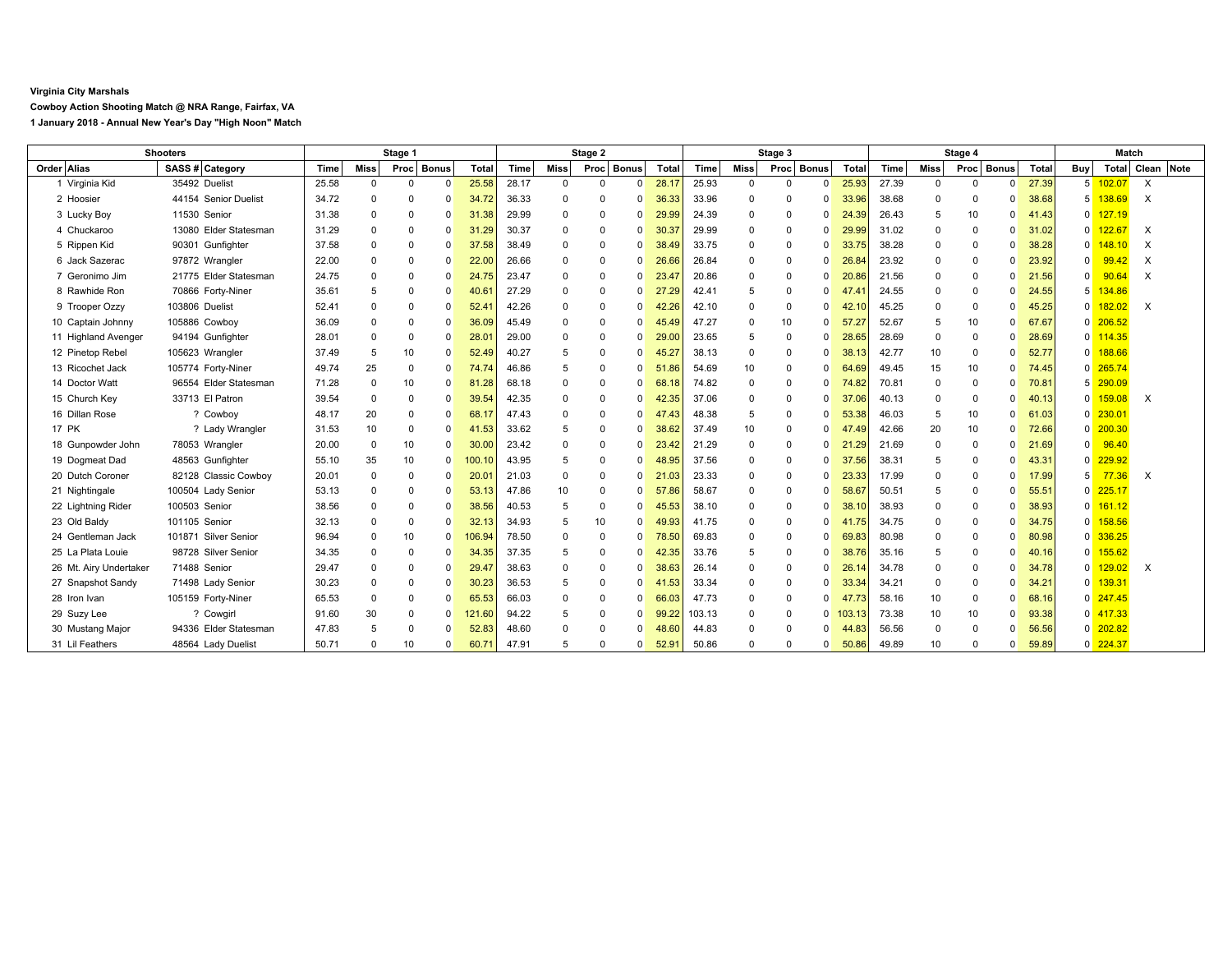## **Virginia City Marshals**

**Cowboy Action Shooting Match @ NRA Range, Fairfax, VA**

**1 January 2018 - Annual New Year's Day "High Noon" Match**

| <b>Shooters</b>        |                       | Stage 1 |             |            |              | Stage 2        |       |                 |            | Stage 3  |            |        | Stage 4     |                         |        |       |          | <b>Match</b>         |             |       |                |            |          |            |
|------------------------|-----------------------|---------|-------------|------------|--------------|----------------|-------|-----------------|------------|----------|------------|--------|-------------|-------------------------|--------|-------|----------|----------------------|-------------|-------|----------------|------------|----------|------------|
| Order Alias            | SASS # Category       | Time    | <b>Miss</b> | Proc Bonus |              | <b>Total</b>   | Time  | Miss            | Proc Bonus |          | Total      | Time   | <b>Miss</b> | Proc<br><b>Bonus</b>    | Total  | Time  | Miss     | <b>Bonus</b><br>Proc |             | Total | Buy            | Total      |          | Clean Note |
| 1 Virginia Kid         | 35492 Duelist         | 25.58   | $\Omega$    | 0          | $\Omega$     | 25.58          | 28.17 | $\mathbf 0$     | $\Omega$   | $\Omega$ | 28.17      | 25.93  | $\Omega$    | $\Omega$<br>$\Omega$    | 25.93  | 27.39 | $\Omega$ | $\Omega$             | $\Omega$    | 27.39 | 5 <sup>1</sup> | 102.07     | $\times$ |            |
| 2 Hoosier              | 44154 Senior Duelist  | 34.72   | $\Omega$    | n          |              | 34.72          | 36.33 | 0               |            | 0        | 36.33      | 33.96  | $\Omega$    | $\Omega$<br>$\Omega$    | 33.96  | 38.68 | $\Omega$ | 0                    | $\Omega$    | 38.68 |                | 138.69     | $\times$ |            |
| 3 Lucky Boy            | 11530 Senior          | 31.38   | $\mathbf 0$ | 0          |              | 31.38          | 29.99 | $^{\circ}$      | $\Omega$   | 0        | 29.99      | 24.39  | $\mathbf 0$ | 0<br>$\Omega$           | 24.39  | 26.43 | 5        | 10                   | $\Omega$    | 41.43 | n.             | 127.19     |          |            |
| 4 Chuckaroo            | 13080 Elder Statesman | 31.29   | $\mathbf 0$ | $\Omega$   |              | 31.29          | 30.37 | 0               | $\Omega$   | $\Omega$ | 30.3       | 29.99  | $\Omega$    | $\Omega$<br>$\Omega$    | 29.99  | 31.02 | $\Omega$ | $^{\circ}$           | $\Omega$    | 31.02 | 0              |            | X        |            |
| 5 Rippen Kid           | 90301 Gunfighter      | 37.58   | $\mathbf 0$ | $\Omega$   | <sup>0</sup> | 37.58          | 38.49 | $\mathbf 0$     | $\Omega$   | $\Omega$ | 38.49      | 33.75  | $\Omega$    | $\mathbf 0$<br>$\Omega$ | 33.75  | 38.28 | 0        | $\mathbf 0$          | $\mathbf 0$ | 38.28 | <sup>0</sup>   | 148.10     | $\times$ |            |
| 6 Jack Sazerac         | 97872 Wrangler        | 22.00   | $\Omega$    | 0          |              | 22.00          | 26.66 | $^{\circ}$      | $\Omega$   | $\Omega$ | 26.66      | 26.84  | $\Omega$    | 0<br>$\Omega$           | 26.84  | 23.92 | 0        | $^{\circ}$           | $\Omega$    | 23.92 | 0              | 99.42      | $\times$ |            |
| 7 Geronimo Jim         | 21775 Elder Statesman | 24.75   | $\Omega$    | n          |              | 24.75          | 23.47 | $\mathbf 0$     | $\Omega$   | $\Omega$ | 23.4       | 20.86  | $\Omega$    | $\Omega$<br>$\Omega$    | 20.86  | 21.56 | $\Omega$ | $\Omega$             | $\Omega$    | 21.56 | U              | 90.64      | $\times$ |            |
| 8 Rawhide Ron          | 70866 Forty-Niner     | 35.61   | 5           | 0          |              | 40.61          | 27.29 | $\Omega$        | $\Omega$   | $\Omega$ | 27.29      | 42.41  | 5           | $\Omega$<br>$\Omega$    | 47.41  | 24.55 | $\Omega$ | $\Omega$             | $\Omega$    | 24.55 |                | 134.86     |          |            |
| 9 Trooper Ozzy         | 103806 Duelist        | 52.41   | $\mathbf 0$ | $\Omega$   | <sup>0</sup> | $52.4^{\circ}$ | 42.26 | $\mathbf 0$     | $\Omega$   | $\Omega$ | 42.26      | 42.10  | $\Omega$    | $\mathbf 0$<br>$\Omega$ | 42.10  | 45.25 | $\Omega$ | $\mathbf 0$          | $\Omega$    | 45.25 | $\Omega$       | 82.02      | $\times$ |            |
| 10 Captain Johnny      | 105886 Cowboy         | 36.09   | $\Omega$    | n          |              | 36.09          | 45.49 | $\Omega$        | $\Omega$   | 0        | 45.49      | 47.27  | $\Omega$    | 10<br>$\Omega$          | 57.27  | 52.67 | 5        | 10                   | $\Omega$    | 67.67 | n.             | 206.52     |          |            |
| 11 Highland Avenger    | 94194 Gunfighter      | 28.01   | $\Omega$    | 0          |              | 28.0           | 29.00 | $^{\circ}$      | $\Omega$   | 0        | 29.00      | 23.65  | 5           | $\Omega$<br>$\Omega$    | 28.65  | 28.69 | $\Omega$ | $\mathbf 0$          | $\Omega$    | 28.69 | O              | 114.35     |          |            |
| 12 Pinetop Rebel       | 105623 Wrangler       | 37.49   | 5           | 10         | $\Omega$     | 52.49          | 40.27 | 5               | $\Omega$   | $\Omega$ | 45.2       | 38.13  | $\Omega$    | $\Omega$<br>$\Omega$    | 38.13  | 42.77 | 10       | $\mathbf 0$          | $\Omega$    | 52.77 | n.             | 188.66     |          |            |
| 13 Ricochet Jack       | 105774 Forty-Niner    | 49.74   | 25          | $\Omega$   |              | 74.74          | 46.86 | 5               | $\Omega$   | $\Omega$ | -51<br>.86 | 54.69  | 10          | 0<br>$\Omega$           | 64.69  | 49.45 | 15       | 10                   | $\Omega$    | 74.45 | n.             | 265.74     |          |            |
| 14 Doctor Watt         | 96554 Elder Statesman | 71.28   | $\Omega$    | 10         |              | 81.28          | 68.18 | 0               | $\Omega$   | 0        | 68.18      | 74.82  | $\Omega$    | $\Omega$<br>$\Omega$    | 74.82  | 70.81 | $\Omega$ | 0                    | $\Omega$    | 70.81 |                | 290.09     |          |            |
| 15 Church Key          | 33713 El Patron       | 39.54   | $\Omega$    | $\Omega$   |              | 39.54          | 42.35 | $\mathbf 0$     | $\Omega$   | $\Omega$ | 42.35      | 37.06  | $\Omega$    | $\mathbf 0$<br>$\Omega$ | 37.06  | 40.13 | $\Omega$ | $\mathbf 0$          | $\Omega$    | 40.13 | 0              | 159.08     | $\times$ |            |
| 16 Dillan Rose         | ? Cowboy              | 48.17   | 20          | 0          |              | 68.17          | 47.43 | $\Omega$        | $\Omega$   | $\Omega$ | 47.43      | 48.38  | 5           | 0<br>$\Omega$           | 53.38  | 46.03 | 5        | 10                   | $\Omega$    | 61.03 | n.             | 230.01     |          |            |
| <b>17 PK</b>           | ? Lady Wrangler       | 31.53   | 10          | $\Omega$   | $\Omega$     | 41.53          | 33.62 | 5               | $\Omega$   | $\Omega$ | 38.62      | 37.49  | 10          | $\Omega$<br>$\Omega$    | 47.49  | 42.66 | 20       | 10                   | $\Omega$    | 72.66 | $\overline{0}$ | 200.30     |          |            |
| 18 Gunpowder John      | 78053 Wrangler        | 20.00   | $\Omega$    | 10         | $\Omega$     | 30.00          | 23.42 | 0               | $\Omega$   | 0        | 23.42      | 21.29  | $\mathbf 0$ | $\mathbf 0$<br>$\Omega$ | 21.29  | 21.69 | 0        | 0                    | $\Omega$    | 21.69 | n.             | 96.40      |          |            |
| 19 Dogmeat Dad         | 48563 Gunfighter      | 55.10   | 35          | 10         |              | 100.10         | 43.95 | 5               | $\Omega$   | 0        | 48.95      | 37.56  | $\Omega$    | 0<br>$\Omega$           | 37.56  | 38.31 | 5        | $\mathbf 0$          | $\Omega$    | 43.31 | 0              | 229.92     |          |            |
| 20 Dutch Coroner       | 82128 Classic Cowboy  | 20.01   | $\Omega$    | $\Omega$   |              | 20.0           | 21.03 | $^{\circ}$      | $\Omega$   | $\Omega$ | 21         | 23.33  | $\Omega$    | $\Omega$<br>$\Omega$    | 23.33  | 17.99 | 0        | $^{\circ}$           | $\Omega$    | 17.99 |                | 77.36      | X        |            |
| 21 Nightingale         | 100504 Lady Senior    | 53.13   | $\mathbf 0$ | 0          |              | 53.13          | 47.86 | 10 <sup>1</sup> | $\Omega$   | $\Omega$ | 57.86      | 58.67  | $\Omega$    | $\mathbf 0$<br>$\Omega$ | 58.67  | 50.51 | 5        | $\mathbf 0$          | $\Omega$    | 55.51 | $\Omega$       | 225.17     |          |            |
| 22 Lightning Rider     | 100503 Senior         | 38.56   | $\mathbf 0$ | 0          |              | 38.56          | 40.53 | 5               | 0          | 0        | 45.53      | 38.10  | $\Omega$    | 0<br>$\Omega$           | 38.10  | 38.93 | 0        | 0                    | $\Omega$    | 38.93 | 0              | 161.12     |          |            |
| 23 Old Baldy           | 101105 Senior         | 32.13   | $\mathbf 0$ | $\Omega$   |              | 32.13          | 34.93 | 5               | 10         | $\Omega$ | 49.93      | 41.75  | $\Omega$    | $\Omega$<br>$\Omega$    | 41.75  | 34.75 | $\Omega$ | $\mathbf 0$          | $\Omega$    | 34.75 | n.             | 158.56     |          |            |
| 24 Gentleman Jack      | 101871 Silver Senior  | 96.94   | $\Omega$    | 10         |              | 106.94         | 78.50 | $^{\circ}$      | $\Omega$   | $\Omega$ | 78.50      | 69.83  | $\Omega$    | $\Omega$<br>$\Omega$    | 69.83  | 80.98 | $\Omega$ | $\Omega$             | $\Omega$    | 80.98 | U              | 336.25     |          |            |
| 25 La Plata Louie      | 98728 Silver Senior   | 34.35   | $\mathbf 0$ | 0          | <sup>0</sup> | 34.35          | 37.35 | 5               | $\Omega$   | $\Omega$ | 42.35      | 33.76  | 5           | $\Omega$<br>$\Omega$    | 38.76  | 35.16 | 5        | $\mathbf 0$          | $\Omega$    | 40.16 | $\Omega$       | 155.62     |          |            |
| 26 Mt. Airy Undertaker | 71488 Senior          | 29.47   | $\Omega$    | 0          |              | 29.4           | 38.63 | 0               | $\Omega$   | 0        | 38.63      | 26.14  | $\mathbf 0$ | 0<br>$\Omega$           | 26.    | 34.78 | 0        | 0                    | $\Omega$    | 34.78 | ŋ              | 29.02      | $\times$ |            |
| 27 Snapshot Sandy      | 71498 Lady Senior     | 30.23   | $\mathbf 0$ | $\Omega$   |              | 30.23          | 36.53 | 5               | $\Omega$   | 0        | 41.53      | 33.34  | $\Omega$    | $\Omega$<br>$\Omega$    | 33.34  | 34.21 | $\Omega$ | $\Omega$             | $\Omega$    | 34.21 | 0              | 139.31     |          |            |
| 28 Iron Ivan           | 105159 Forty-Niner    | 65.53   | $\mathbf 0$ | $\Omega$   | n            | 65.53          | 66.03 | $\mathbf 0$     | $\Omega$   | $\Omega$ | 66.0       | 47.73  | $\Omega$    | $\Omega$<br>$\Omega$    | 47.73  | 58.16 | 10       | $\mathbf 0$          | $\Omega$    | 68.16 | 0              | 247.45     |          |            |
| 29 Suzy Lee            | ? Cowgirl             | 91.60   | 30          | $\Omega$   | <sup>0</sup> | 121.60         | 94.22 | 5               | $\Omega$   | $\Omega$ | 99.22      | 103.13 | $\Omega$    | $\mathbf 0$<br>$\Omega$ | 103.13 | 73.38 | 10       | 10                   | $\Omega$    | 93.38 | n.             | 417.33     |          |            |
| 30 Mustang Major       | 94336 Elder Statesman | 47.83   | 5           | 0          |              | 52.83          | 48.60 | $\Omega$        |            | 0        | 48.60      | 44.83  | $\Omega$    | 0<br>$\Omega$           | 44.83  | 56.56 | $\Omega$ | 0                    | $\Omega$    | 56.56 | 0              | 202.82     |          |            |
| 31 Lil Feathers        | 48564 Lady Duelist    | 50.71   | $\Omega$    | 10         |              | 60.71          | 47.91 | 5               |            | 0        | 52.91      | 50.86  | $\Omega$    | 0<br>$\Omega$           | 50.86  | 49.89 | 10       | $\Omega$             | 0           | 59.89 |                | $0$ 224.37 |          |            |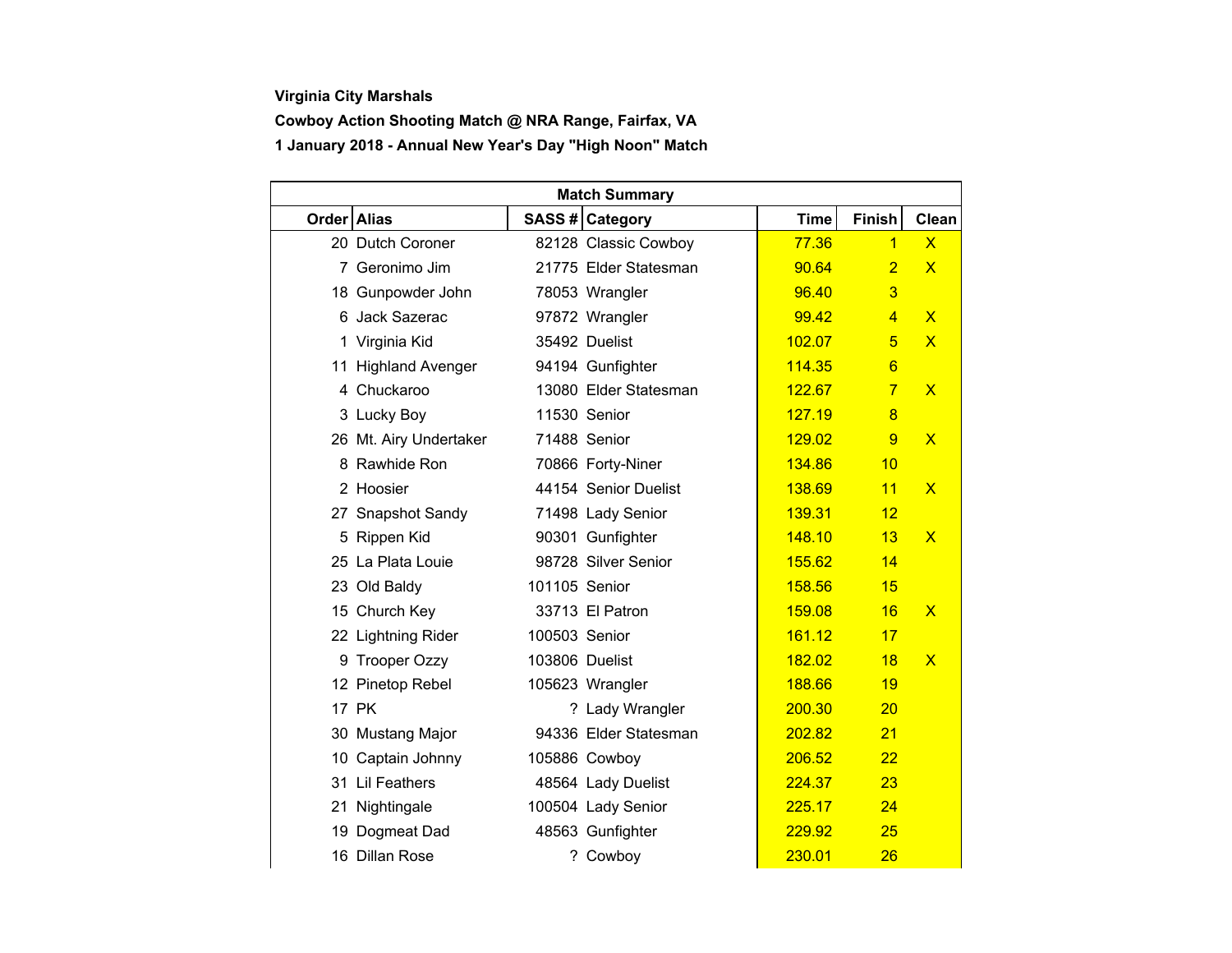## **Virginia City Marshals**

## **Cowboy Action Shooting Match @ NRA Range, Fairfax, VA 1 January 2018 - Annual New Year's Day "High Noon" Match**

| <b>Match Summary</b> |                        |                |                       |             |                 |                         |  |  |  |  |
|----------------------|------------------------|----------------|-----------------------|-------------|-----------------|-------------------------|--|--|--|--|
| Order Alias          |                        |                | SASS # Category       | <b>Time</b> | <b>Finish</b>   | <b>Clean</b>            |  |  |  |  |
|                      | 20 Dutch Coroner       |                | 82128 Classic Cowboy  | 77.36       | $\overline{1}$  | $\overline{\mathsf{x}}$ |  |  |  |  |
|                      | 7 Geronimo Jim         |                | 21775 Elder Statesman | 90.64       | $\overline{2}$  | $\mathsf{X}$            |  |  |  |  |
|                      | 18 Gunpowder John      |                | 78053 Wrangler        | 96.40       | 3               |                         |  |  |  |  |
|                      | 6 Jack Sazerac         |                | 97872 Wrangler        | 99.42       | $\overline{4}$  | $\overline{\mathsf{X}}$ |  |  |  |  |
|                      | 1 Virginia Kid         |                | 35492 Duelist         | 102.07      | 5               | $\overline{\mathsf{x}}$ |  |  |  |  |
|                      | 11 Highland Avenger    |                | 94194 Gunfighter      | 114.35      | $6\overline{6}$ |                         |  |  |  |  |
|                      | 4 Chuckaroo            |                | 13080 Elder Statesman | 122.67      | $\overline{7}$  | $\overline{\mathsf{x}}$ |  |  |  |  |
|                      | 3 Lucky Boy            |                | 11530 Senior          | 127.19      | 8               |                         |  |  |  |  |
|                      | 26 Mt. Airy Undertaker |                | 71488 Senior          | 129.02      | 9               | $\overline{\mathsf{X}}$ |  |  |  |  |
|                      | 8 Rawhide Ron          |                | 70866 Forty-Niner     | 134.86      | 10              |                         |  |  |  |  |
|                      | 2 Hoosier              |                | 44154 Senior Duelist  | 138.69      | 11              | $\mathsf{X}$            |  |  |  |  |
|                      | 27 Snapshot Sandy      |                | 71498 Lady Senior     | 139.31      | 12              |                         |  |  |  |  |
|                      | 5 Rippen Kid           |                | 90301 Gunfighter      | 148.10      | 13              | $\overline{\mathsf{x}}$ |  |  |  |  |
|                      | 25 La Plata Louie      |                | 98728 Silver Senior   | 155.62      | 14              |                         |  |  |  |  |
|                      | 23 Old Baldy           | 101105 Senior  |                       | 158.56      | 15              |                         |  |  |  |  |
|                      | 15 Church Key          |                | 33713 El Patron       | 159.08      | 16              | $\mathsf{x}$            |  |  |  |  |
|                      | 22 Lightning Rider     | 100503 Senior  |                       | 161.12      | 17              |                         |  |  |  |  |
|                      | 9 Trooper Ozzy         | 103806 Duelist |                       | 182.02      | 18              | $\overline{\mathsf{X}}$ |  |  |  |  |
|                      | 12 Pinetop Rebel       |                | 105623 Wrangler       | 188.66      | 19              |                         |  |  |  |  |
|                      | 17 PK                  |                | ? Lady Wrangler       | 200.30      | 20              |                         |  |  |  |  |
|                      | 30 Mustang Major       |                | 94336 Elder Statesman | 202.82      | 21              |                         |  |  |  |  |
|                      | 10 Captain Johnny      |                | 105886 Cowboy         | 206.52      | 22              |                         |  |  |  |  |
|                      | 31 Lil Feathers        |                | 48564 Lady Duelist    | 224.37      | 23              |                         |  |  |  |  |
|                      | 21 Nightingale         |                | 100504 Lady Senior    | 225.17      | 24              |                         |  |  |  |  |
|                      | 19 Dogmeat Dad         |                | 48563 Gunfighter      | 229.92      | 25              |                         |  |  |  |  |
|                      | 16 Dillan Rose         |                | ? Cowboy              | 230.01      | 26              |                         |  |  |  |  |